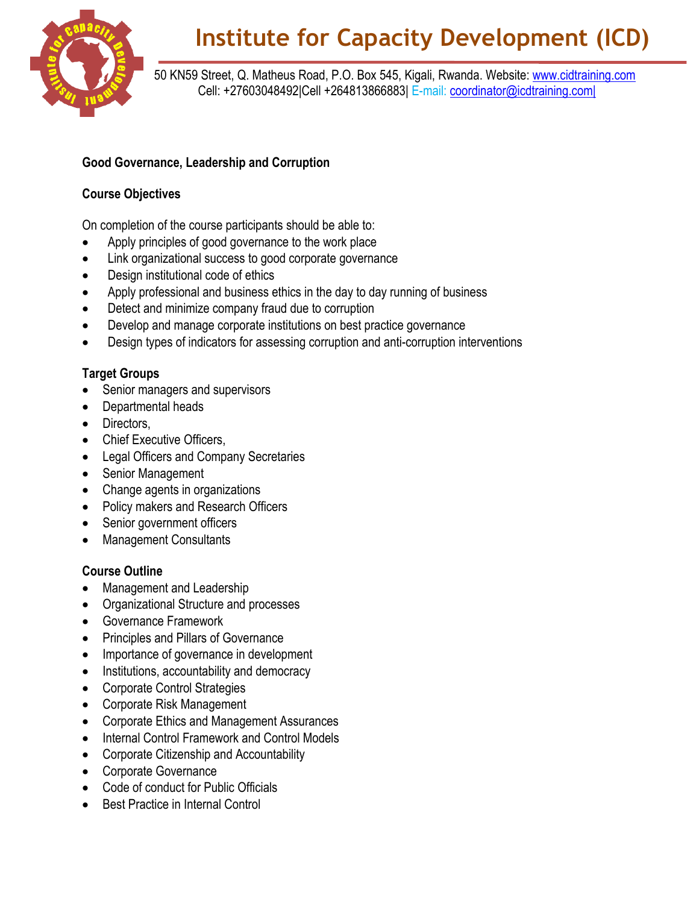

50 KN59 Street, Q. Matheus Road, P.O. Box 545, Kigali, Rwanda. Website: [www.cidtraining.com](http://www.cidtraining.com/) Cell: +27603048492|Cell +264813866883| E-mail: [coordinator@icdtraining.com|](mailto:coordinator@icdtraining.com%7C)

## **Good Governance, Leadership and Corruption**

## **Course Objectives**

On completion of the course participants should be able to:

- Apply principles of good governance to the work place
- Link organizational success to good corporate governance
- Design institutional code of ethics
- Apply professional and business ethics in the day to day running of business
- Detect and minimize company fraud due to corruption
- Develop and manage corporate institutions on best practice governance
- Design types of indicators for assessing corruption and anti-corruption interventions

## **Target Groups**

- Senior managers and supervisors
- Departmental heads
- Directors,
- Chief Executive Officers.
- Legal Officers and Company Secretaries
- Senior Management
- Change agents in organizations
- Policy makers and Research Officers
- Senior government officers
- Management Consultants

## **Course Outline**

- Management and Leadership
- Organizational Structure and processes
- Governance Framework
- Principles and Pillars of Governance
- Importance of governance in development
- Institutions, accountability and democracy
- Corporate Control Strategies
- Corporate Risk Management
- Corporate Ethics and Management Assurances
- Internal Control Framework and Control Models
- Corporate Citizenship and Accountability
- Corporate Governance
- Code of conduct for Public Officials
- Best Practice in Internal Control